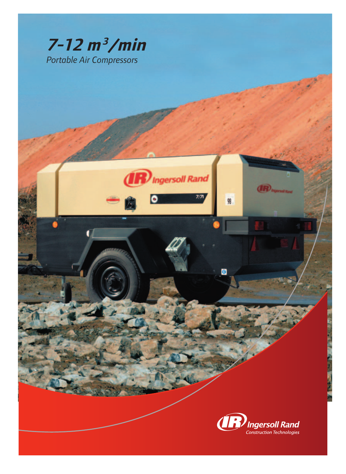

Ingersoll Rand

 $7/7$ 

98

Θ



**IR** Ingersot Ra